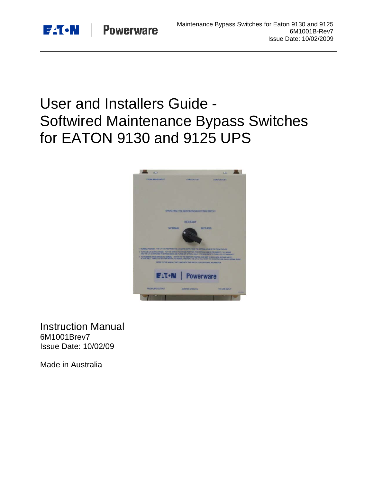

# User and Installers Guide - Softwired Maintenance Bypass Switches for EATON 9130 and 9125 UPS



Instruction Manual 6M1001Brev7 Issue Date: 10/02/09

Made in Australia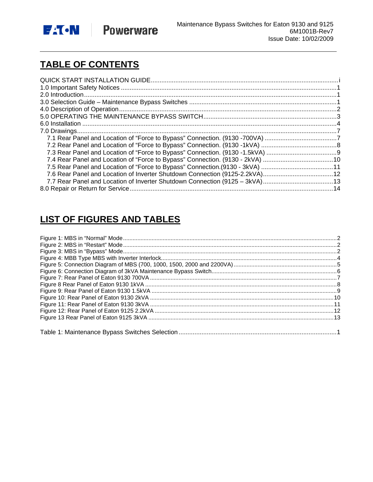

# **TABLE OF CONTENTS**

| 7.4 Rear Panel and Location of "Force to Bypass" Connection. (9130 - 2kVA) 10 |
|-------------------------------------------------------------------------------|
|                                                                               |
|                                                                               |
|                                                                               |
|                                                                               |

# **LIST OF FIGURES AND TABLES**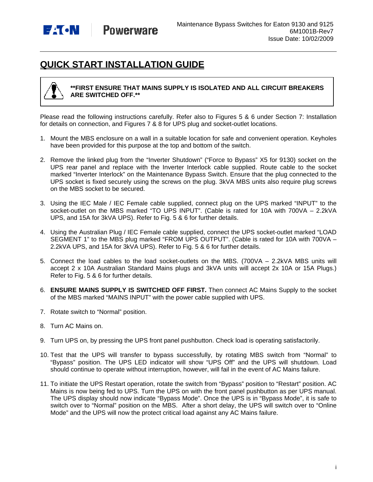

# **QUICK START INSTALLATION GUIDE**



#### **\*\*FIRST ENSURE THAT MAINS SUPPLY IS ISOLATED AND ALL CIRCUIT BREAKERS ARE SWITCHED OFF.\*\***

Please read the following instructions carefully. Refer also to Figures 5 & 6 under Section 7: Installation for details on connection, and Figures 7 & 8 for UPS plug and socket-outlet locations.

- 1. Mount the MBS enclosure on a wall in a suitable location for safe and convenient operation. Keyholes have been provided for this purpose at the top and bottom of the switch.
- 2. Remove the linked plug from the "Inverter Shutdown" ("Force to Bypass" X5 for 9130) socket on the UPS rear panel and replace with the Inverter Interlock cable supplied. Route cable to the socket marked "Inverter Interlock" on the Maintenance Bypass Switch. Ensure that the plug connected to the UPS socket is fixed securely using the screws on the plug. 3kVA MBS units also require plug screws on the MBS socket to be secured.
- 3. Using the IEC Male / IEC Female cable supplied, connect plug on the UPS marked "INPUT" to the socket-outlet on the MBS marked "TO UPS INPUT". (Cable is rated for 10A with 700VA – 2.2kVA UPS, and 15A for 3kVA UPS). Refer to Fig. 5 & 6 for further details.
- 4. Using the Australian Plug / IEC Female cable supplied, connect the UPS socket-outlet marked "LOAD SEGMENT 1" to the MBS plug marked "FROM UPS OUTPUT". (Cable is rated for 10A with 700VA – 2.2kVA UPS, and 15A for 3kVA UPS). Refer to Fig. 5 & 6 for further details.
- 5. Connect the load cables to the load socket-outlets on the MBS. (700VA 2.2kVA MBS units will accept 2 x 10A Australian Standard Mains plugs and 3kVA units will accept 2x 10A or 15A Plugs.) Refer to Fig. 5 & 6 for further details.
- 6. **ENSURE MAINS SUPPLY IS SWITCHED OFF FIRST.** Then connect AC Mains Supply to the socket of the MBS marked "MAINS INPUT" with the power cable supplied with UPS.
- 7. Rotate switch to "Normal" position.
- 8. Turn AC Mains on.
- 9. Turn UPS on, by pressing the UPS front panel pushbutton. Check load is operating satisfactorily.
- 10. Test that the UPS will transfer to bypass successfully, by rotating MBS switch from "Normal" to "Bypass" position. The UPS LED indicator will show "UPS Off" and the UPS will shutdown. Load should continue to operate without interruption, however, will fail in the event of AC Mains failure.
- 11. To initiate the UPS Restart operation, rotate the switch from "Bypass" position to "Restart" position. AC Mains is now being fed to UPS. Turn the UPS on with the front panel pushbutton as per UPS manual. The UPS display should now indicate "Bypass Mode". Once the UPS is in "Bypass Mode", it is safe to switch over to "Normal" position on the MBS. After a short delay, the UPS will switch over to "Online Mode" and the UPS will now the protect critical load against any AC Mains failure.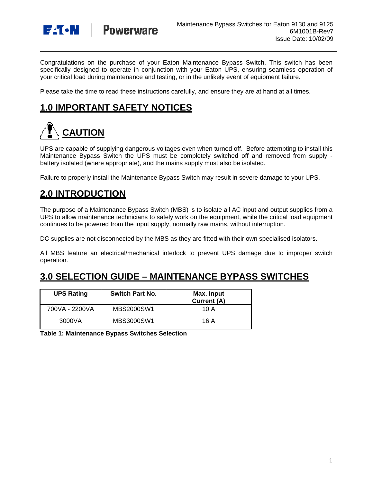

Congratulations on the purchase of your Eaton Maintenance Bypass Switch. This switch has been specifically designed to operate in conjunction with your Eaton UPS, ensuring seamless operation of your critical load during maintenance and testing, or in the unlikely event of equipment failure.

Please take the time to read these instructions carefully, and ensure they are at hand at all times.

## **1.0 IMPORTANT SAFETY NOTICES**

# **CAUTION**

UPS are capable of supplying dangerous voltages even when turned off. Before attempting to install this Maintenance Bypass Switch the UPS must be completely switched off and removed from supply battery isolated (where appropriate), and the mains supply must also be isolated.

Failure to properly install the Maintenance Bypass Switch may result in severe damage to your UPS.

### **2.0 INTRODUCTION**

The purpose of a Maintenance Bypass Switch (MBS) is to isolate all AC input and output supplies from a UPS to allow maintenance technicians to safely work on the equipment, while the critical load equipment continues to be powered from the input supply, normally raw mains, without interruption.

DC supplies are not disconnected by the MBS as they are fitted with their own specialised isolators.

All MBS feature an electrical/mechanical interlock to prevent UPS damage due to improper switch operation.

### **3.0 SELECTION GUIDE – MAINTENANCE BYPASS SWITCHES**

| <b>UPS Rating</b> | <b>Switch Part No.</b> | Max. Input<br>Current (A) |
|-------------------|------------------------|---------------------------|
| 700VA - 2200VA    | MBS2000SW1             | 10 A                      |
| 3000VA            | MBS3000SW1             | 16 A                      |

**Table 1: Maintenance Bypass Switches Selection**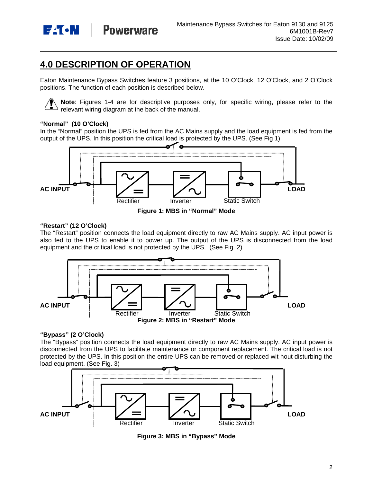

**Powerware** 

# **4.0 DESCRIPTION OF OPERATION**

Eaton Maintenance Bypass Switches feature 3 positions, at the 10 O'Clock, 12 O'Clock, and 2 O'Clock positions. The function of each position is described below.

**Note**: Figures 1-4 are for descriptive purposes only, for specific wiring, please refer to the relevant wiring diagram at the back of the manual.

#### **"Normal" (10 O'Clock)**

In the "Normal" position the UPS is fed from the AC Mains supply and the load equipment is fed from the output of the UPS. In this position the critical load is protected by the UPS. (See Fig 1)



**Figure 1: MBS in "Normal" Mode** 

#### **"Restart" (12 O'Clock)**

The "Restart" position connects the load equipment directly to raw AC Mains supply. AC input power is also fed to the UPS to enable it to power up. The output of the UPS is disconnected from the load equipment and the critical load is not protected by the UPS. (See Fig. 2)



#### **"Bypass" (2 O'Clock)**

The "Bypass" position connects the load equipment directly to raw AC Mains supply. AC input power is disconnected from the UPS to facilitate maintenance or component replacement. The critical load is not protected by the UPS. In this position the entire UPS can be removed or replaced wit hout disturbing the load equipment. (See Fig. 3)



**Figure 3: MBS in "Bypass" Mode**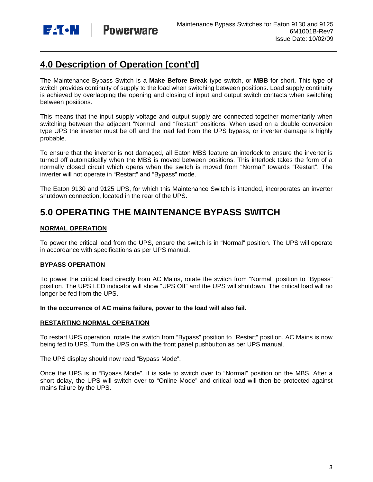

# **4.0 Description of Operation [cont'd]**

The Maintenance Bypass Switch is a **Make Before Break** type switch, or **MBB** for short. This type of switch provides continuity of supply to the load when switching between positions. Load supply continuity is achieved by overlapping the opening and closing of input and output switch contacts when switching between positions.

This means that the input supply voltage and output supply are connected together momentarily when switching between the adjacent "Normal" and "Restart" positions. When used on a double conversion type UPS the inverter must be off and the load fed from the UPS bypass, or inverter damage is highly probable.

To ensure that the inverter is not damaged, all Eaton MBS feature an interlock to ensure the inverter is turned off automatically when the MBS is moved between positions. This interlock takes the form of a normally closed circuit which opens when the switch is moved from "Normal" towards "Restart". The inverter will not operate in "Restart" and "Bypass" mode.

The Eaton 9130 and 9125 UPS, for which this Maintenance Switch is intended, incorporates an inverter shutdown connection, located in the rear of the UPS.

### **5.0 OPERATING THE MAINTENANCE BYPASS SWITCH**

#### **NORMAL OPERATION**

To power the critical load from the UPS, ensure the switch is in "Normal" position. The UPS will operate in accordance with specifications as per UPS manual.

#### **BYPASS OPERATION**

To power the critical load directly from AC Mains, rotate the switch from "Normal" position to "Bypass" position. The UPS LED indicator will show "UPS Off" and the UPS will shutdown. The critical load will no longer be fed from the UPS.

**In the occurrence of AC mains failure, power to the load will also fail.** 

#### **RESTARTING NORMAL OPERATION**

To restart UPS operation, rotate the switch from "Bypass" position to "Restart" position. AC Mains is now being fed to UPS. Turn the UPS on with the front panel pushbutton as per UPS manual.

The UPS display should now read "Bypass Mode".

Once the UPS is in "Bypass Mode", it is safe to switch over to "Normal" position on the MBS. After a short delay, the UPS will switch over to "Online Mode" and critical load will then be protected against mains failure by the UPS.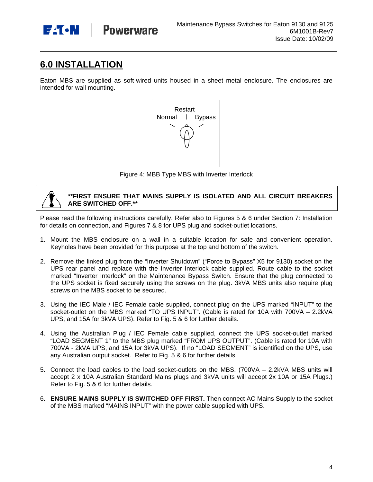

### **6.0 INSTALLATION**

Eaton MBS are supplied as soft-wired units housed in a sheet metal enclosure. The enclosures are intended for wall mounting.



Figure 4: MBB Type MBS with Inverter Interlock



Please read the following instructions carefully. Refer also to Figures 5 & 6 under Section 7: Installation for details on connection, and Figures 7 & 8 for UPS plug and socket-outlet locations.

- 1. Mount the MBS enclosure on a wall in a suitable location for safe and convenient operation. Keyholes have been provided for this purpose at the top and bottom of the switch.
- 2. Remove the linked plug from the "Inverter Shutdown" ("Force to Bypass" X5 for 9130) socket on the UPS rear panel and replace with the Inverter Interlock cable supplied. Route cable to the socket marked "Inverter Interlock" on the Maintenance Bypass Switch. Ensure that the plug connected to the UPS socket is fixed securely using the screws on the plug. 3kVA MBS units also require plug screws on the MBS socket to be secured.
- 3. Using the IEC Male / IEC Female cable supplied, connect plug on the UPS marked "INPUT" to the socket-outlet on the MBS marked "TO UPS INPUT". (Cable is rated for 10A with 700VA – 2.2kVA UPS, and 15A for 3kVA UPS). Refer to Fig. 5 & 6 for further details.
- 4. Using the Australian Plug / IEC Female cable supplied, connect the UPS socket-outlet marked "LOAD SEGMENT 1" to the MBS plug marked "FROM UPS OUTPUT". (Cable is rated for 10A with 700VA - 2kVA UPS, and 15A for 3kVA UPS). If no "LOAD SEGMENT" is identified on the UPS, use any Australian output socket. Refer to Fig. 5 & 6 for further details.
- 5. Connect the load cables to the load socket-outlets on the MBS. (700VA 2.2kVA MBS units will accept 2 x 10A Australian Standard Mains plugs and 3kVA units will accept 2x 10A or 15A Plugs.) Refer to Fig. 5 & 6 for further details.
- 6. **ENSURE MAINS SUPPLY IS SWITCHED OFF FIRST.** Then connect AC Mains Supply to the socket of the MBS marked "MAINS INPUT" with the power cable supplied with UPS.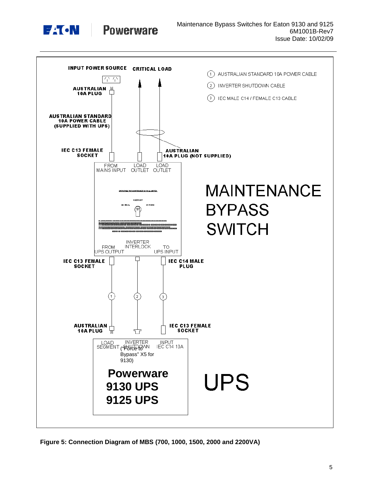

**Powerware** 



**Figure 5: Connection Diagram of MBS (700, 1000, 1500, 2000 and 2200VA)**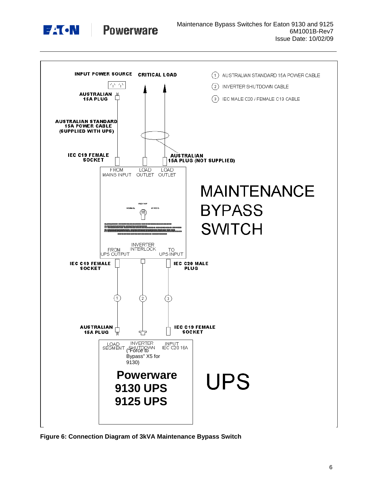

**Powerware** 



**Figure 6: Connection Diagram of 3kVA Maintenance Bypass Switch**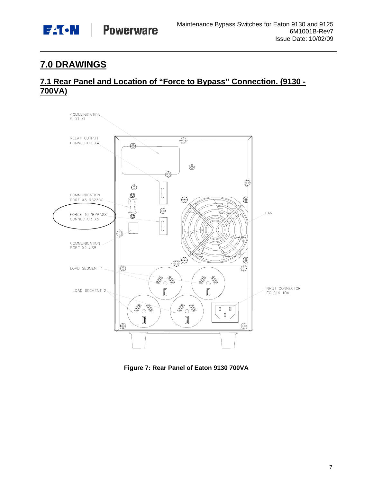

# **7.0 DRAWINGS**

### **7.1 Rear Panel and Location of "Force to Bypass" Connection. (9130 - 700VA)**



**Figure 7: Rear Panel of Eaton 9130 700VA**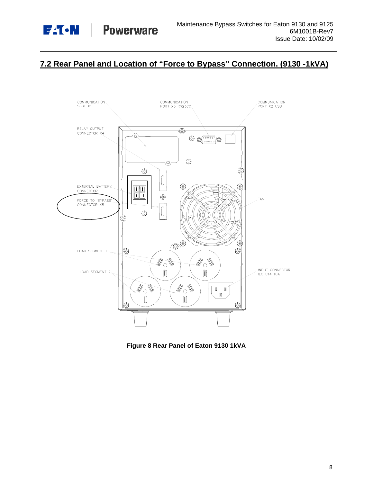

### **7.2 Rear Panel and Location of "Force to Bypass" Connection. (9130 -1kVA)**



**Figure 8 Rear Panel of Eaton 9130 1kVA**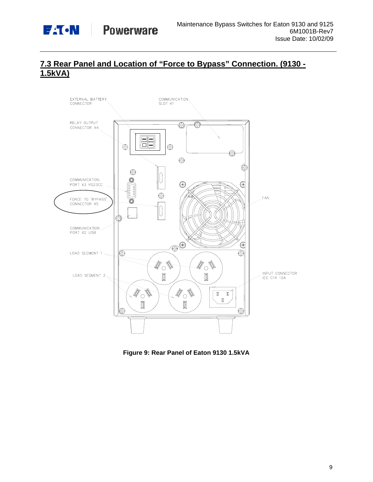

### **7.3 Rear Panel and Location of "Force to Bypass" Connection. (9130 - 1.5kVA)**



**Figure 9: Rear Panel of Eaton 9130 1.5kVA**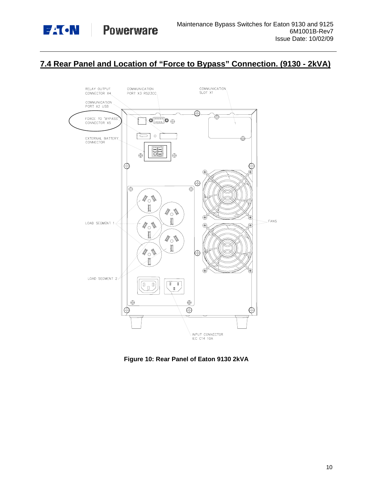

### **7.4 Rear Panel and Location of "Force to Bypass" Connection. (9130 - 2kVA)**



**Figure 10: Rear Panel of Eaton 9130 2kVA**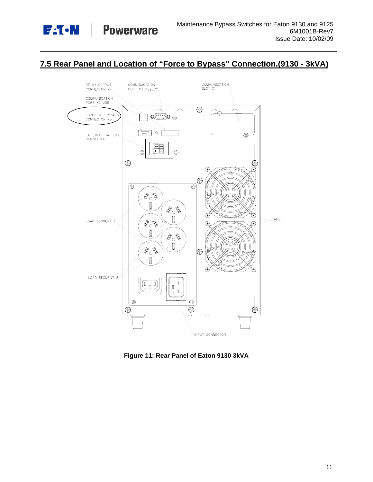

### **7.5 Rear Panel and Location of "Force to Bypass" Connection.(9130 - 3kVA)**



**Figure 11: Rear Panel of Eaton 9130 3kVA**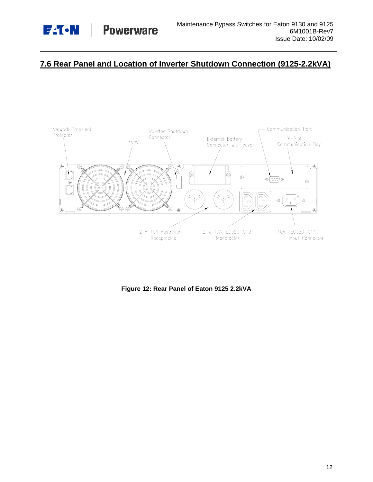

### **7.6 Rear Panel and Location of Inverter Shutdown Connection (9125-2.2kVA)**



**Figure 12: Rear Panel of Eaton 9125 2.2kVA**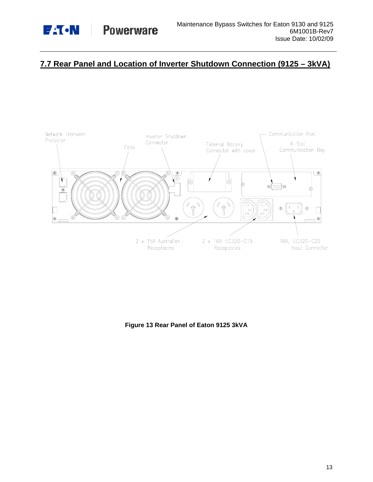

### **7.7 Rear Panel and Location of Inverter Shutdown Connection (9125 – 3kVA)**



**Figure 13 Rear Panel of Eaton 9125 3kVA**